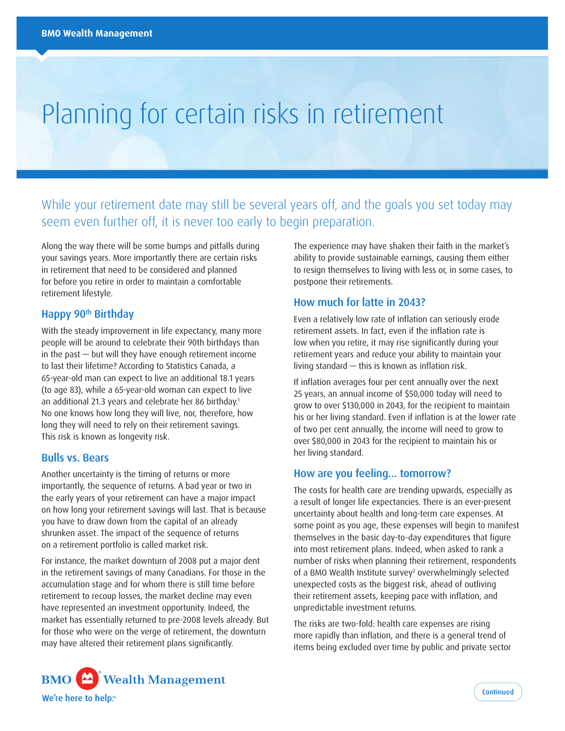# Planning for certain risks in retirement

While your retirement date may still be several years off, and the goals you set today may seem even further off, it is never too early to begin preparation.

Along the way there will be some bumps and pitfalls during your savings years. More importantly there are certain risks in retirement that need to be considered and planned for before you retire in order to maintain a comfortable retirement lifestyle.

# Happy 90<sup>th</sup> Birthday

With the steady improvement in life expectancy, many more people will be around to celebrate their 90th birthdays than in the past — but will they have enough retirement income to last their lifetime? According to Statistics Canada, a 65-year-old man can expect to live an additional 18.1 years (to age 83), while a 65-year-old woman can expect to live an additional 21.3 years and celebrate her 86 birthday.<sup>1</sup> No one knows how long they will live, nor, therefore, how long they will need to rely on their retirement savings. This risk is known as longevity risk.

# Bulls vs. Bears

Another uncertainty is the timing of returns or more importantly, the sequence of returns. A bad year or two in the early years of your retirement can have a major impact on how long your retirement savings will last. That is because you have to draw down from the capital of an already shrunken asset. The impact of the sequence of returns on a retirement portfolio is called market risk.

For instance, the market downturn of 2008 put a major dent in the retirement savings of many Canadians. For those in the accumulation stage and for whom there is still time before retirement to recoup losses, the market decline may even have represented an investment opportunity. Indeed, the market has essentially returned to pre-2008 levels already. But for those who were on the verge of retirement, the downturn may have altered their retirement plans significantly.

The experience may have shaken their faith in the market's ability to provide sustainable earnings, causing them either to resign themselves to living with less or, in some cases, to postpone their retirements.

# How much for latte in 2043?

Even a relatively low rate of inflation can seriously erode retirement assets. In fact, even if the inflation rate is low when you retire, it may rise significantly during your retirement years and reduce your ability to maintain your living standard — this is known as inflation risk.

If inflation averages four per cent annually over the next 25 years, an annual income of \$50,000 today will need to grow to over \$130,000 in 2043, for the recipient to maintain his or her living standard. Even if inflation is at the lower rate of two per cent annually, the income will need to grow to over \$80,000 in 2043 for the recipient to maintain his or her living standard.

## How are you feeling… tomorrow?

The costs for health care are trending upwards, especially as a result of longer life expectancies. There is an ever-present uncertainty about health and long-term care expenses. At some point as you age, these expenses will begin to manifest themselves in the basic day-to-day expenditures that figure into most retirement plans. Indeed, when asked to rank a number of risks when planning their retirement, respondents of a BMO Wealth Institute survey<sup>2</sup> overwhelmingly selected unexpected costs as the biggest risk, ahead of outliving their retirement assets, keeping pace with inflation, and unpredictable investment returns.

The risks are two-fold: health care expenses are rising more rapidly than inflation, and there is a general trend of items being excluded over time by public and private sector